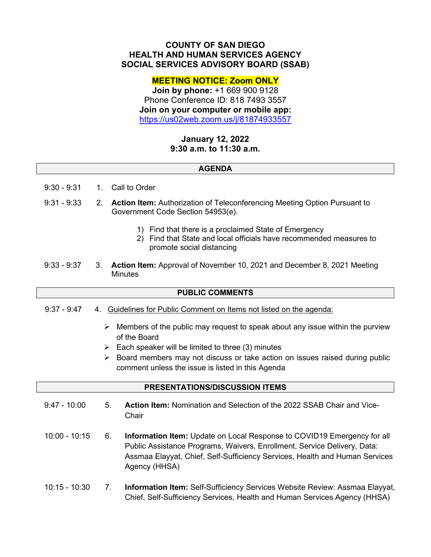# **COUNTY OF SAN DIEGO HEALTH AND HUMAN SERVICES AGENCY SOCIAL SERVICES ADVISORY BOARD (SSAB)**

## **MEETING NOTICE: Zoom ONLY**

**Join by phone:** +1 669 900 9128 Phone Conference ID: 818 7493 3557 **Join on your computer or mobile app:** <https://us02web.zoom.us/j/81874933557>

# **January 12, 2022 9:30 a.m. to 11:30 a.m.**

### **AGENDA**

- 9:30 9:31 1. Call to Order
- 9:31 9:33 2. **Action Item:** Authorization of Teleconferencing Meeting Option Pursuant to Government Code Section 54953(e).
	- 1) Find that there is a proclaimed State of Emergency
	- 2) Find that State and local officials have recommended measures to promote social distancing
- 9:33 9:37 3. **Action Item:** Approval of November 10, 2021 and December 8, 2021 Meeting **Minutes**

### **PUBLIC COMMENTS**

- 9:37 9:47 4. Guidelines for Public Comment on Items not listed on the agenda:
	- $\triangleright$  Members of the public may request to speak about any issue within the purview of the Board
	- $\triangleright$  Each speaker will be limited to three (3) minutes
	- $\triangleright$  Board members may not discuss or take action on issues raised during public comment unless the issue is listed in this Agenda

### **PRESENTATIONS/DISCUSSION ITEMS**

- 9:47 10:00 5. **Action Item:** Nomination and Selection of the 2022 SSAB Chair and Vice-**Chair**
- 10:00 10:15 6. **Information Item:** Update on Local Response to COVID19 Emergency for all Public Assistance Programs, Waivers, Enrollment, Service Delivery, Data: Assmaa Elayyat, Chief, Self-Sufficiency Services, Health and Human Services Agency (HHSA)
- 10:15 10:30 7. **Information Item:** Self-Sufficiency Services Website Review: Assmaa Elayyat, Chief, Self-Sufficiency Services, Health and Human Services Agency (HHSA)